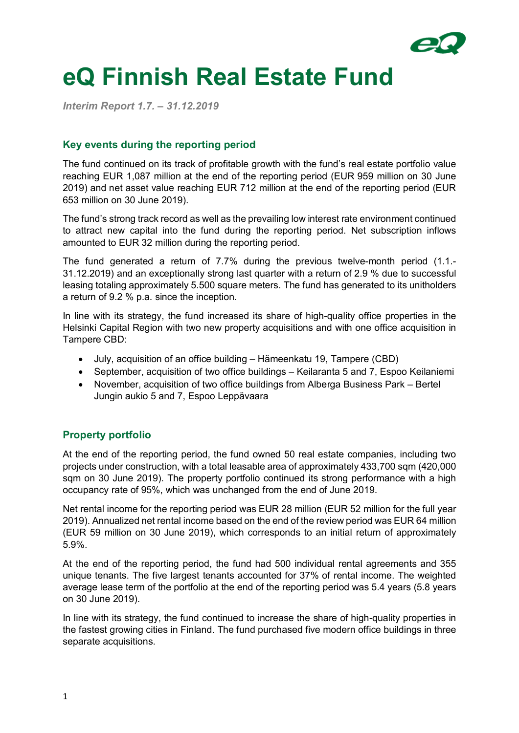

# **eQ Finnish Real Estate Fund**

*Interim Report 1.7. – 31.12.2019*

## **Key events during the reporting period**

The fund continued on its track of profitable growth with the fund's real estate portfolio value reaching EUR 1,087 million at the end of the reporting period (EUR 959 million on 30 June 2019) and net asset value reaching EUR 712 million at the end of the reporting period (EUR 653 million on 30 June 2019).

The fund's strong track record as well as the prevailing low interest rate environment continued to attract new capital into the fund during the reporting period. Net subscription inflows amounted to EUR 32 million during the reporting period.

The fund generated a return of 7.7% during the previous twelve-month period (1.1.- 31.12.2019) and an exceptionally strong last quarter with a return of 2.9 % due to successful leasing totaling approximately 5.500 square meters. The fund has generated to its unitholders a return of 9.2 % p.a. since the inception.

In line with its strategy, the fund increased its share of high-quality office properties in the Helsinki Capital Region with two new property acquisitions and with one office acquisition in Tampere CBD:

- · July, acquisition of an office building Hämeenkatu 19, Tampere (CBD)
- · September, acquisition of two office buildings Keilaranta 5 and 7, Espoo Keilaniemi
- · November, acquisition of two office buildings from Alberga Business Park Bertel Jungin aukio 5 and 7, Espoo Leppävaara

# **Property portfolio**

At the end of the reporting period, the fund owned 50 real estate companies, including two projects under construction, with a total leasable area of approximately 433,700 sqm (420,000 sqm on 30 June 2019). The property portfolio continued its strong performance with a high occupancy rate of 95%, which was unchanged from the end of June 2019.

Net rental income for the reporting period was EUR 28 million (EUR 52 million for the full year 2019). Annualized net rental income based on the end of the review period was EUR 64 million (EUR 59 million on 30 June 2019), which corresponds to an initial return of approximately 5.9%.

At the end of the reporting period, the fund had 500 individual rental agreements and 355 unique tenants. The five largest tenants accounted for 37% of rental income. The weighted average lease term of the portfolio at the end of the reporting period was 5.4 years (5.8 years on 30 June 2019).

In line with its strategy, the fund continued to increase the share of high-quality properties in the fastest growing cities in Finland. The fund purchased five modern office buildings in three separate acquisitions.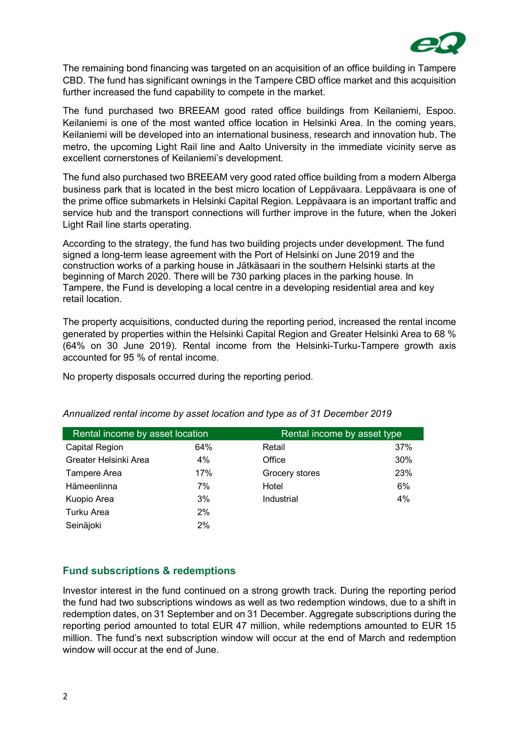

The remaining bond financing was targeted on an acquisition of an office building in Tampere CBD. The fund has significant ownings in the Tampere CBD office market and this acquisition further increased the fund capability to compete in the market.

The fund purchased two BREEAM good rated office buildings from Keilaniemi, Espoo. Keilaniemi is one of the most wanted office location in Helsinki Area. In the coming years, Keilaniemi will be developed into an international business, research and innovation hub. The metro, the upcoming Light Rail line and Aalto University in the immediate vicinity serve as excellent cornerstones of Keilaniemi's development.

The fund also purchased two BREEAM very good rated office building from a modern Alberga business park that is located in the best micro location of Leppävaara. Leppävaara is one of the prime office submarkets in Helsinki Capital Region. Leppävaara is an important traffic and service hub and the transport connections will further improve in the future, when the Jokeri Light Rail line starts operating.

According to the strategy, the fund has two building projects under development. The fund signed a long-term lease agreement with the Port of Helsinki on June 2019 and the construction works of a parking house in Jätkäsaari in the southern Helsinki starts at the beginning of March 2020. There will be 730 parking places in the parking house. In Tampere, the Fund is developing a local centre in a developing residential area and key retail location.

The property acquisitions, conducted during the reporting period, increased the rental income generated by properties within the Helsinki Capital Region and Greater Helsinki Area to 68 % (64% on 30 June 2019). Rental income from the Helsinki-Turku-Tampere growth axis accounted for 95 % of rental income.

No property disposals occurred during the reporting period.

| Rental income by asset location |     | Rental income by asset type |     |
|---------------------------------|-----|-----------------------------|-----|
| Capital Region                  | 64% | Retail                      | 37% |
| Greater Helsinki Area           | 4%  | Office                      | 30% |
| Tampere Area                    | 17% | Grocery stores              | 23% |
| Hämeenlinna                     | 7%  | Hotel                       | 6%  |
| Kuopio Area                     | 3%  | Industrial                  | 4%  |
| <b>Turku Area</b>               | 2%  |                             |     |
| Seinäjoki                       | 2%  |                             |     |

*Annualized rental income by asset location and type as of 31 December 2019*

# **Fund subscriptions & redemptions**

Investor interest in the fund continued on a strong growth track. During the reporting period the fund had two subscriptions windows as well as two redemption windows, due to a shift in redemption dates, on 31 September and on 31 December. Aggregate subscriptions during the reporting period amounted to total EUR 47 million, while redemptions amounted to EUR 15 million. The fund's next subscription window will occur at the end of March and redemption window will occur at the end of June.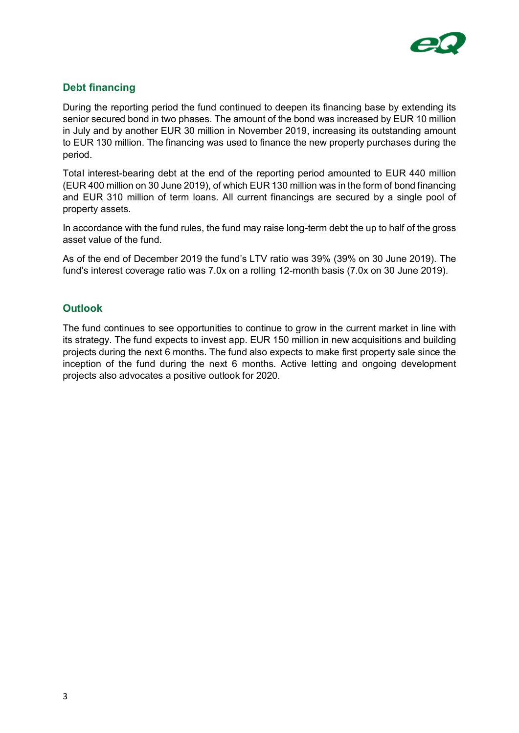

# **Debt financing**

During the reporting period the fund continued to deepen its financing base by extending its senior secured bond in two phases. The amount of the bond was increased by EUR 10 million in July and by another EUR 30 million in November 2019, increasing its outstanding amount to EUR 130 million. The financing was used to finance the new property purchases during the period.

Total interest-bearing debt at the end of the reporting period amounted to EUR 440 million (EUR 400 million on 30 June 2019), of which EUR 130 million was in the form of bond financing and EUR 310 million of term loans. All current financings are secured by a single pool of property assets.

In accordance with the fund rules, the fund may raise long-term debt the up to half of the gross asset value of the fund.

As of the end of December 2019 the fund's LTV ratio was 39% (39% on 30 June 2019). The fund's interest coverage ratio was 7.0x on a rolling 12-month basis (7.0x on 30 June 2019).

# **Outlook**

The fund continues to see opportunities to continue to grow in the current market in line with its strategy. The fund expects to invest app. EUR 150 million in new acquisitions and building projects during the next 6 months. The fund also expects to make first property sale since the inception of the fund during the next 6 months. Active letting and ongoing development projects also advocates a positive outlook for 2020.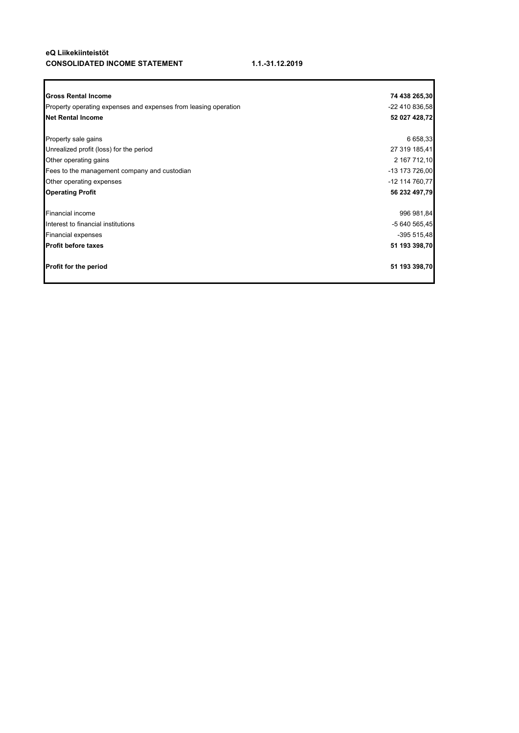### **eQ Liikekiinteistöt CONSOLIDATED INCOME STATEMENT 1.1.-31.12.2019**

 $\overline{1}$ 

| 74 438 265,30  |
|----------------|
| -22 410 836,58 |
| 52 027 428,72  |
| 6 658,33       |
| 27 319 185,41  |
| 2 167 712,10   |
| -13 173 726,00 |
| -12 114 760,77 |
| 56 232 497,79  |
| 996 981,84     |
| -5 640 565,45  |
| -395 515,48    |
| 51 193 398,70  |
| 51 193 398,70  |
|                |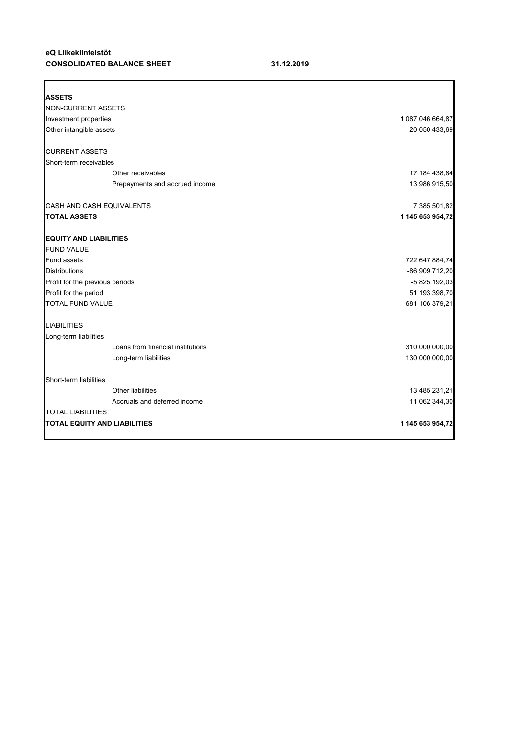### **eQ Liikekiinteistöt CONSOLIDATED BALANCE SHEET 31.12.2019**

 $\mathbf{r}$ 

 $\blacksquare$ 

| <b>ASSETS</b>                       |                  |
|-------------------------------------|------------------|
| <b>NON-CURRENT ASSETS</b>           |                  |
| Investment properties               | 1 087 046 664,87 |
| Other intangible assets             | 20 050 433,69    |
| <b>CURRENT ASSETS</b>               |                  |
| Short-term receivables              |                  |
| Other receivables                   | 17 184 438,84    |
| Prepayments and accrued income      | 13 986 915,50    |
| <b>CASH AND CASH EQUIVALENTS</b>    | 7 385 501,82     |
| <b>TOTAL ASSETS</b>                 | 1 145 653 954,72 |
| <b>EQUITY AND LIABILITIES</b>       |                  |
| <b>FUND VALUE</b>                   |                  |
| <b>Fund assets</b>                  | 722 647 884,74   |
| <b>Distributions</b>                | -86 909 712,20   |
| Profit for the previous periods     | -5 825 192,03    |
| Profit for the period               | 51 193 398,70    |
| <b>TOTAL FUND VALUE</b>             | 681 106 379,21   |
| <b>LIABILITIES</b>                  |                  |
| Long-term liabilities               |                  |
| Loans from financial institutions   | 310 000 000,00   |
| Long-term liabilities               | 130 000 000,00   |
| Short-term liabilities              |                  |
| Other liabilities                   | 13 485 231,21    |
| Accruals and deferred income        | 11 062 344,30    |
| <b>TOTAL LIABILITIES</b>            |                  |
| <b>TOTAL EQUITY AND LIABILITIES</b> | 1 145 653 954,72 |
|                                     |                  |